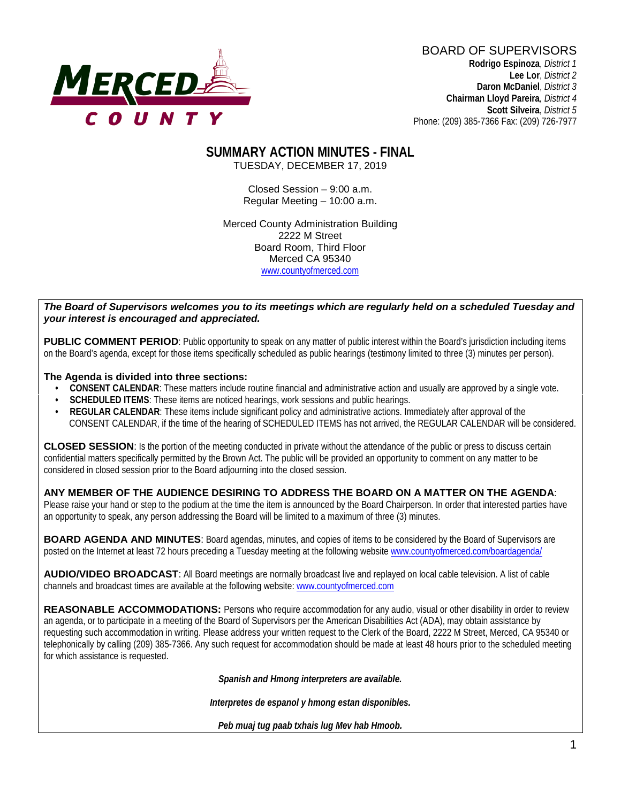

BOARD OF SUPERVISORS **Rodrigo Espinoza**, *District 1*  **Lee Lor**, *District 2*  **Daron McDaniel**, *District 3* **Chairman Lloyd Pareira***, District 4*  **Scott Silveira**, *District 5* Phone: (209) 385-7366 Fax: (209) 726-7977

#### **SUMMARY ACTION MINUTES - FINAL** TUESDAY, DECEMBER 17, 2019

Closed Session – 9:00 a.m. Regular Meeting – 10:00 a.m.

Merced County Administration Building 2222 M Street Board Room, Third Floor Merced CA 95340 www.countyofmerced.com

#### *The Board of Supervisors welcomes you to its meetings which are regularly held on a scheduled Tuesday and your interest is encouraged and appreciated.*

**PUBLIC COMMENT PERIOD:** Public opportunity to speak on any matter of public interest within the Board's jurisdiction including items on the Board's agenda, except for those items specifically scheduled as public hearings (testimony limited to three (3) minutes per person).

#### **The Agenda is divided into three sections:**

- **CONSENT CALENDAR**: These matters include routine financial and administrative action and usually are approved by a single vote.
- **SCHEDULED ITEMS:** These items are noticed hearings, work sessions and public hearings.
- **REGULAR CALENDAR**: These items include significant policy and administrative actions. Immediately after approval of the CONSENT CALENDAR, if the time of the hearing of SCHEDULED ITEMS has not arrived, the REGULAR CALENDAR will be considered.

**CLOSED SESSION**: Is the portion of the meeting conducted in private without the attendance of the public or press to discuss certain confidential matters specifically permitted by the Brown Act. The public will be provided an opportunity to comment on any matter to be considered in closed session prior to the Board adjourning into the closed session.

#### **ANY MEMBER OF THE AUDIENCE DESIRING TO ADDRESS THE BOARD ON A MATTER ON THE AGENDA**:

Please raise your hand or step to the podium at the time the item is announced by the Board Chairperson. In order that interested parties have an opportunity to speak, any person addressing the Board will be limited to a maximum of three (3) minutes.

**BOARD AGENDA AND MINUTES:** Board agendas, minutes, and copies of items to be considered by the Board of Supervisors are posted on the Internet at least 72 hours preceding a Tuesday meeting at the following website [www.countyofmerced.com/boardagenda/](http://www.countyofmerced.com/boardagenda/) 

**AUDIO/VIDEO BROADCAST**: All Board meetings are normally broadcast live and replayed on local cable television. A list of cable channels and broadcast times are available at the following website[: www.countyofmerced.com](http://www.countyofmerced.com/)

**REASONABLE ACCOMMODATIONS:** Persons who require accommodation for any audio, visual or other disability in order to review an agenda, or to participate in a meeting of the Board of Supervisors per the American Disabilities Act (ADA), may obtain assistance by requesting such accommodation in writing. Please address your written request to the Clerk of the Board, 2222 M Street, Merced, CA 95340 or telephonically by calling (209) 385-7366. Any such request for accommodation should be made at least 48 hours prior to the scheduled meeting for which assistance is requested.

*Spanish and Hmong interpreters are available.*

*Interpretes de espanol y hmong estan disponibles.*

*Peb muaj tug paab txhais lug Mev hab Hmoob.*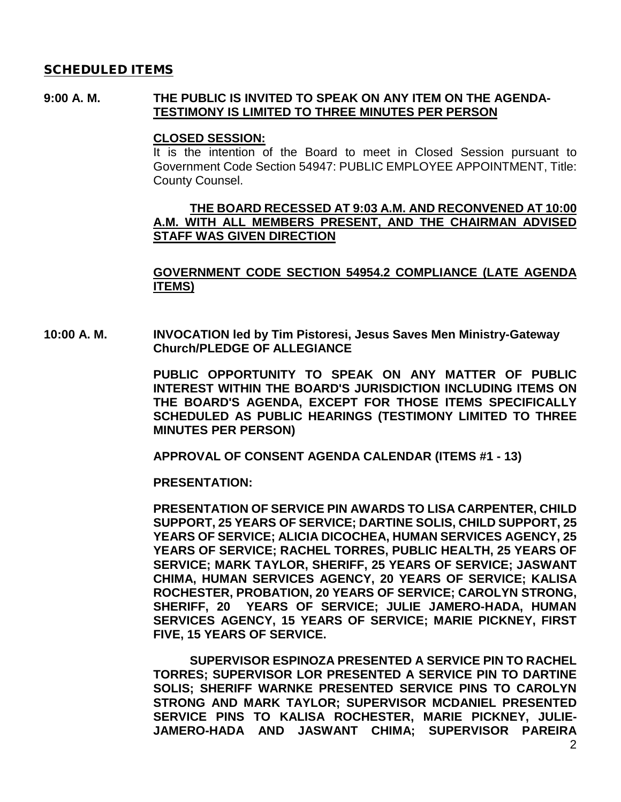#### SCHEDULED ITEMS

#### **9:00 A. M. THE PUBLIC IS INVITED TO SPEAK ON ANY ITEM ON THE AGENDA-TESTIMONY IS LIMITED TO THREE MINUTES PER PERSON**

#### **CLOSED SESSION:**

It is the intention of the Board to meet in Closed Session pursuant to Government Code Section 54947: PUBLIC EMPLOYEE APPOINTMENT, Title: County Counsel.

### **THE BOARD RECESSED AT 9:03 A.M. AND RECONVENED AT 10:00 A.M. WITH ALL MEMBERS PRESENT, AND THE CHAIRMAN ADVISED STAFF WAS GIVEN DIRECTION**

### **GOVERNMENT CODE SECTION 54954.2 COMPLIANCE (LATE AGENDA ITEMS)**

**10:00 A. M. INVOCATION led by Tim Pistoresi, Jesus Saves Men Ministry-Gateway Church/PLEDGE OF ALLEGIANCE**

> **PUBLIC OPPORTUNITY TO SPEAK ON ANY MATTER OF PUBLIC INTEREST WITHIN THE BOARD'S JURISDICTION INCLUDING ITEMS ON THE BOARD'S AGENDA, EXCEPT FOR THOSE ITEMS SPECIFICALLY SCHEDULED AS PUBLIC HEARINGS (TESTIMONY LIMITED TO THREE MINUTES PER PERSON)**

**APPROVAL OF CONSENT AGENDA CALENDAR (ITEMS #1 - 13)**

**PRESENTATION:** 

**PRESENTATION OF SERVICE PIN AWARDS TO LISA CARPENTER, CHILD SUPPORT, 25 YEARS OF SERVICE; DARTINE SOLIS, CHILD SUPPORT, 25 YEARS OF SERVICE; ALICIA DICOCHEA, HUMAN SERVICES AGENCY, 25 YEARS OF SERVICE; RACHEL TORRES, PUBLIC HEALTH, 25 YEARS OF SERVICE; MARK TAYLOR, SHERIFF, 25 YEARS OF SERVICE; JASWANT CHIMA, HUMAN SERVICES AGENCY, 20 YEARS OF SERVICE; KALISA ROCHESTER, PROBATION, 20 YEARS OF SERVICE; CAROLYN STRONG, SHERIFF, 20 YEARS OF SERVICE; JULIE JAMERO-HADA, HUMAN SERVICES AGENCY, 15 YEARS OF SERVICE; MARIE PICKNEY, FIRST FIVE, 15 YEARS OF SERVICE.**

**SUPERVISOR ESPINOZA PRESENTED A SERVICE PIN TO RACHEL TORRES; SUPERVISOR LOR PRESENTED A SERVICE PIN TO DARTINE SOLIS; SHERIFF WARNKE PRESENTED SERVICE PINS TO CAROLYN STRONG AND MARK TAYLOR; SUPERVISOR MCDANIEL PRESENTED SERVICE PINS TO KALISA ROCHESTER, MARIE PICKNEY, JULIE-JAMERO-HADA AND JASWANT CHIMA; SUPERVISOR PAREIRA**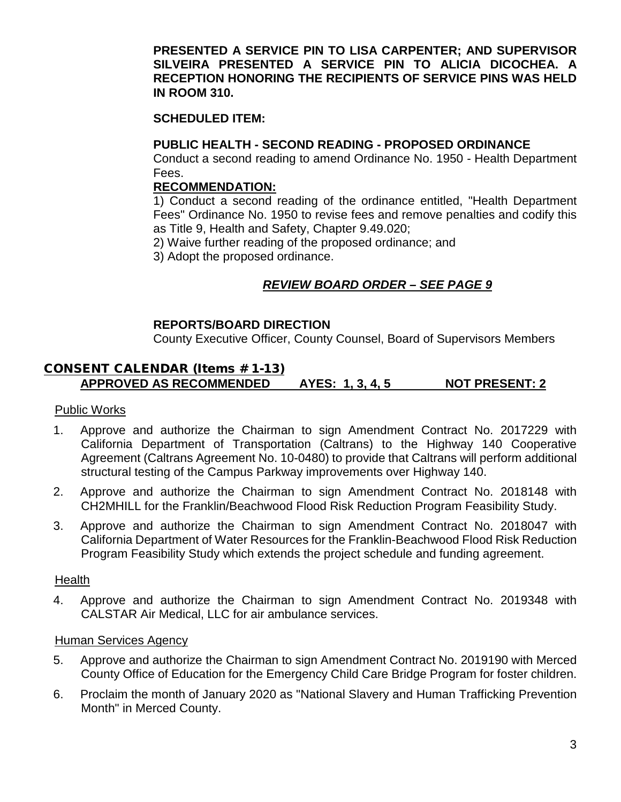### **PRESENTED A SERVICE PIN TO LISA CARPENTER; AND SUPERVISOR SILVEIRA PRESENTED A SERVICE PIN TO ALICIA DICOCHEA. A RECEPTION HONORING THE RECIPIENTS OF SERVICE PINS WAS HELD IN ROOM 310.**

### **SCHEDULED ITEM:**

### **PUBLIC HEALTH - SECOND READING - PROPOSED ORDINANCE**

Conduct a second reading to amend Ordinance No. 1950 - Health Department Fees.

#### **RECOMMENDATION:**

1) Conduct a second reading of the ordinance entitled, "Health Department Fees" Ordinance No. 1950 to revise fees and remove penalties and codify this as Title 9, Health and Safety, Chapter 9.49.020;

2) Waive further reading of the proposed ordinance; and

3) Adopt the proposed ordinance.

### *REVIEW BOARD ORDER – SEE PAGE 9*

### **REPORTS/BOARD DIRECTION**

County Executive Officer, County Counsel, Board of Supervisors Members

## CONSENT CALENDAR (Items # 1-13) **APPROVED AS RECOMMENDED AYES: 1, 3, 4, 5 NOT PRESENT: 2**

#### Public Works

- 1. Approve and authorize the Chairman to sign Amendment Contract No. 2017229 with California Department of Transportation (Caltrans) to the Highway 140 Cooperative Agreement (Caltrans Agreement No. 10-0480) to provide that Caltrans will perform additional structural testing of the Campus Parkway improvements over Highway 140.
- 2. Approve and authorize the Chairman to sign Amendment Contract No. 2018148 with CH2MHILL for the Franklin/Beachwood Flood Risk Reduction Program Feasibility Study.
- 3. Approve and authorize the Chairman to sign Amendment Contract No. 2018047 with California Department of Water Resources for the Franklin-Beachwood Flood Risk Reduction Program Feasibility Study which extends the project schedule and funding agreement.

### **Health**

4. Approve and authorize the Chairman to sign Amendment Contract No. 2019348 with CALSTAR Air Medical, LLC for air ambulance services.

#### Human Services Agency

- 5. Approve and authorize the Chairman to sign Amendment Contract No. 2019190 with Merced County Office of Education for the Emergency Child Care Bridge Program for foster children.
- 6. Proclaim the month of January 2020 as "National Slavery and Human Trafficking Prevention Month" in Merced County.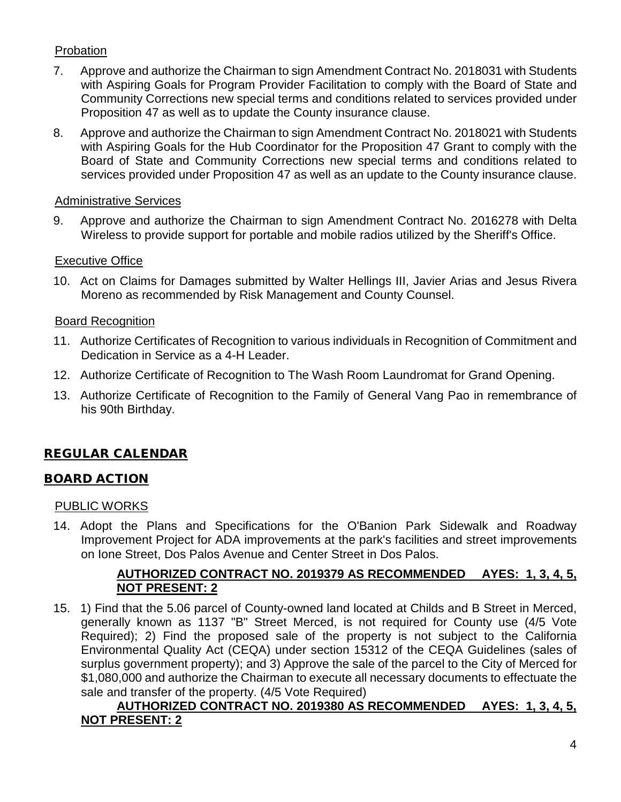# Probation

- 7. Approve and authorize the Chairman to sign Amendment Contract No. 2018031 with Students with Aspiring Goals for Program Provider Facilitation to comply with the Board of State and Community Corrections new special terms and conditions related to services provided under Proposition 47 as well as to update the County insurance clause.
- 8. Approve and authorize the Chairman to sign Amendment Contract No. 2018021 with Students with Aspiring Goals for the Hub Coordinator for the Proposition 47 Grant to comply with the Board of State and Community Corrections new special terms and conditions related to services provided under Proposition 47 as well as an update to the County insurance clause.

### Administrative Services

9. Approve and authorize the Chairman to sign Amendment Contract No. 2016278 with Delta Wireless to provide support for portable and mobile radios utilized by the Sheriff's Office.

### Executive Office

10. Act on Claims for Damages submitted by Walter Hellings III, Javier Arias and Jesus Rivera Moreno as recommended by Risk Management and County Counsel.

### Board Recognition

- 11. Authorize Certificates of Recognition to various individuals in Recognition of Commitment and Dedication in Service as a 4-H Leader.
- 12. Authorize Certificate of Recognition to The Wash Room Laundromat for Grand Opening.
- 13. Authorize Certificate of Recognition to the Family of General Vang Pao in remembrance of his 90th Birthday.

# REGULAR CALENDAR

### BOARD ACTION

### PUBLIC WORKS

14. Adopt the Plans and Specifications for the O'Banion Park Sidewalk and Roadway Improvement Project for ADA improvements at the park's facilities and street improvements on Ione Street, Dos Palos Avenue and Center Street in Dos Palos.

### **AUTHORIZED CONTRACT NO. 2019379 AS RECOMMENDED AYES: 1, 3, 4, 5, NOT PRESENT: 2**

15. 1) Find that the 5.06 parcel of County-owned land located at Childs and B Street in Merced, generally known as 1137 "B" Street Merced, is not required for County use (4/5 Vote Required); 2) Find the proposed sale of the property is not subject to the California Environmental Quality Act (CEQA) under section 15312 of the CEQA Guidelines (sales of surplus government property); and 3) Approve the sale of the parcel to the City of Merced for \$1,080,000 and authorize the Chairman to execute all necessary documents to effectuate the sale and transfer of the property. (4/5 Vote Required)

### **AUTHORIZED CONTRACT NO. 2019380 AS RECOMMENDED AYES: 1, 3, 4, 5, NOT PRESENT: 2**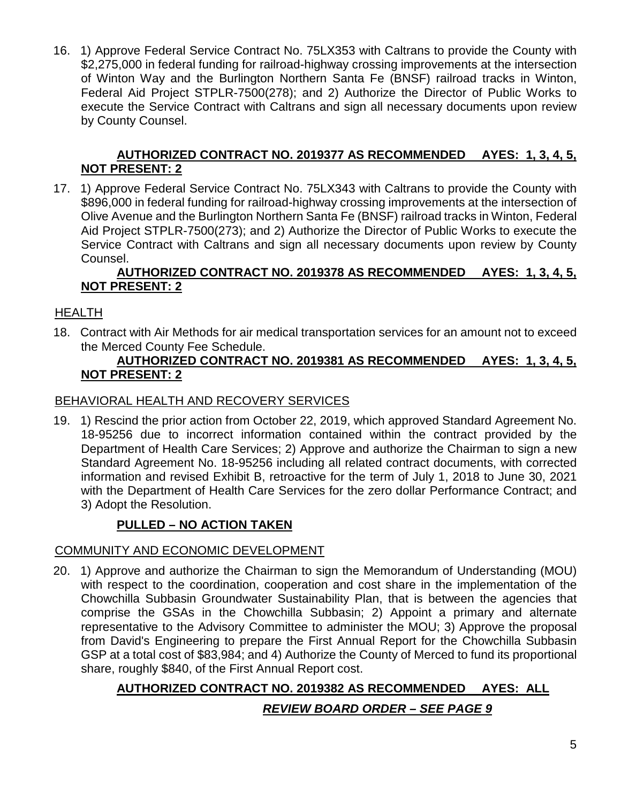16. 1) Approve Federal Service Contract No. 75LX353 with Caltrans to provide the County with \$2,275,000 in federal funding for railroad-highway crossing improvements at the intersection of Winton Way and the Burlington Northern Santa Fe (BNSF) railroad tracks in Winton, Federal Aid Project STPLR-7500(278); and 2) Authorize the Director of Public Works to execute the Service Contract with Caltrans and sign all necessary documents upon review by County Counsel.

## **AUTHORIZED CONTRACT NO. 2019377 AS RECOMMENDED AYES: 1, 3, 4, 5, NOT PRESENT: 2**

17. 1) Approve Federal Service Contract No. 75LX343 with Caltrans to provide the County with \$896,000 in federal funding for railroad-highway crossing improvements at the intersection of Olive Avenue and the Burlington Northern Santa Fe (BNSF) railroad tracks in Winton, Federal Aid Project STPLR-7500(273); and 2) Authorize the Director of Public Works to execute the Service Contract with Caltrans and sign all necessary documents upon review by County Counsel.

## **AUTHORIZED CONTRACT NO. 2019378 AS RECOMMENDED AYES: 1, 3, 4, 5, NOT PRESENT: 2**

## HEALTH

18. Contract with Air Methods for air medical transportation services for an amount not to exceed the Merced County Fee Schedule.

### **AUTHORIZED CONTRACT NO. 2019381 AS RECOMMENDED AYES: 1, 3, 4, 5, NOT PRESENT: 2**

### BEHAVIORAL HEALTH AND RECOVERY SERVICES

19. 1) Rescind the prior action from October 22, 2019, which approved Standard Agreement No. 18-95256 due to incorrect information contained within the contract provided by the Department of Health Care Services; 2) Approve and authorize the Chairman to sign a new Standard Agreement No. 18-95256 including all related contract documents, with corrected information and revised Exhibit B, retroactive for the term of July 1, 2018 to June 30, 2021 with the Department of Health Care Services for the zero dollar Performance Contract; and 3) Adopt the Resolution.

# **PULLED – NO ACTION TAKEN**

### COMMUNITY AND ECONOMIC DEVELOPMENT

20. 1) Approve and authorize the Chairman to sign the Memorandum of Understanding (MOU) with respect to the coordination, cooperation and cost share in the implementation of the Chowchilla Subbasin Groundwater Sustainability Plan, that is between the agencies that comprise the GSAs in the Chowchilla Subbasin; 2) Appoint a primary and alternate representative to the Advisory Committee to administer the MOU; 3) Approve the proposal from David's Engineering to prepare the First Annual Report for the Chowchilla Subbasin GSP at a total cost of \$83,984; and 4) Authorize the County of Merced to fund its proportional share, roughly \$840, of the First Annual Report cost.

# **AUTHORIZED CONTRACT NO. 2019382 AS RECOMMENDED AYES: ALL** *REVIEW BOARD ORDER – SEE PAGE 9*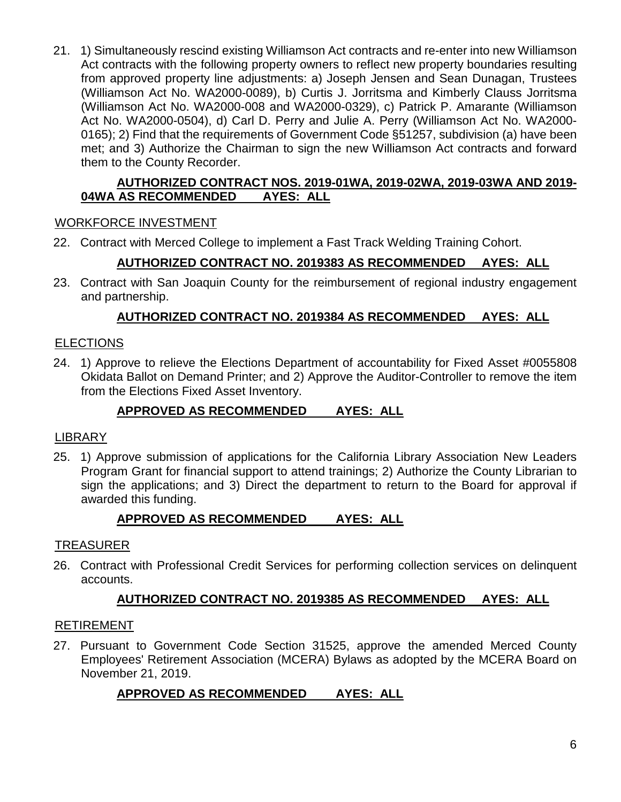21. 1) Simultaneously rescind existing Williamson Act contracts and re-enter into new Williamson Act contracts with the following property owners to reflect new property boundaries resulting from approved property line adjustments: a) Joseph Jensen and Sean Dunagan, Trustees (Williamson Act No. WA2000-0089), b) Curtis J. Jorritsma and Kimberly Clauss Jorritsma (Williamson Act No. WA2000-008 and WA2000-0329), c) Patrick P. Amarante (Williamson Act No. WA2000-0504), d) Carl D. Perry and Julie A. Perry (Williamson Act No. WA2000- 0165); 2) Find that the requirements of Government Code §51257, subdivision (a) have been met; and 3) Authorize the Chairman to sign the new Williamson Act contracts and forward them to the County Recorder.

### **AUTHORIZED CONTRACT NOS. 2019-01WA, 2019-02WA, 2019-03WA AND 2019- 04WA AS RECOMMENDED**

### WORKFORCE INVESTMENT

22. Contract with Merced College to implement a Fast Track Welding Training Cohort.

## **AUTHORIZED CONTRACT NO. 2019383 AS RECOMMENDED AYES: ALL**

23. Contract with San Joaquin County for the reimbursement of regional industry engagement and partnership.

### **AUTHORIZED CONTRACT NO. 2019384 AS RECOMMENDED AYES: ALL**

### **ELECTIONS**

24. 1) Approve to relieve the Elections Department of accountability for Fixed Asset #0055808 Okidata Ballot on Demand Printer; and 2) Approve the Auditor-Controller to remove the item from the Elections Fixed Asset Inventory.

### **APPROVED AS RECOMMENDED AYES: ALL**

### **LIBRARY**

25. 1) Approve submission of applications for the California Library Association New Leaders Program Grant for financial support to attend trainings; 2) Authorize the County Librarian to sign the applications; and 3) Direct the department to return to the Board for approval if awarded this funding.

### **APPROVED AS RECOMMENDED AYES: ALL**

### TREASURER

26. Contract with Professional Credit Services for performing collection services on delinquent accounts.

### **AUTHORIZED CONTRACT NO. 2019385 AS RECOMMENDED AYES: ALL**

### RETIREMENT

27. Pursuant to Government Code Section 31525, approve the amended Merced County Employees' Retirement Association (MCERA) Bylaws as adopted by the MCERA Board on November 21, 2019.

### **APPROVED AS RECOMMENDED AYES: ALL**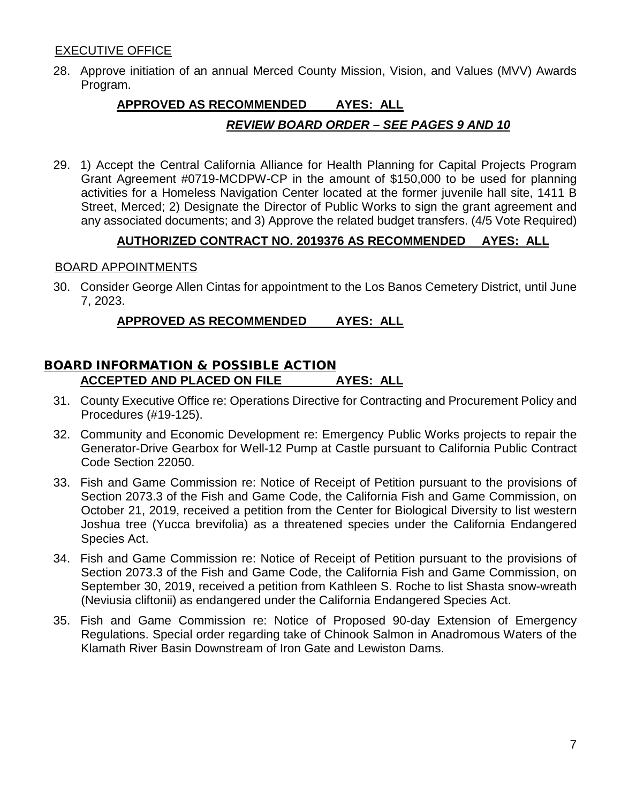### EXECUTIVE OFFICE

28. Approve initiation of an annual Merced County Mission, Vision, and Values (MVV) Awards Program.

# **APPROVED AS RECOMMENDED AYES: ALL**

### *REVIEW BOARD ORDER – SEE PAGES 9 AND 10*

29. 1) Accept the Central California Alliance for Health Planning for Capital Projects Program Grant Agreement #0719-MCDPW-CP in the amount of \$150,000 to be used for planning activities for a Homeless Navigation Center located at the former juvenile hall site, 1411 B Street, Merced; 2) Designate the Director of Public Works to sign the grant agreement and any associated documents; and 3) Approve the related budget transfers. (4/5 Vote Required)

### **AUTHORIZED CONTRACT NO. 2019376 AS RECOMMENDED AYES: ALL**

### BOARD APPOINTMENTS

30. Consider George Allen Cintas for appointment to the Los Banos Cemetery District, until June 7, 2023.

### **APPROVED AS RECOMMENDED AYES: ALL**

### BOARD INFORMATION & POSSIBLE ACTION **ACCEPTED AND PLACED ON FILE AYES: ALL**

- 31. County Executive Office re: Operations Directive for Contracting and Procurement Policy and Procedures (#19-125).
- 32. Community and Economic Development re: Emergency Public Works projects to repair the Generator-Drive Gearbox for Well-12 Pump at Castle pursuant to California Public Contract Code Section 22050.
- 33. Fish and Game Commission re: Notice of Receipt of Petition pursuant to the provisions of Section 2073.3 of the Fish and Game Code, the California Fish and Game Commission, on October 21, 2019, received a petition from the Center for Biological Diversity to list western Joshua tree (Yucca brevifolia) as a threatened species under the California Endangered Species Act.
- 34. Fish and Game Commission re: Notice of Receipt of Petition pursuant to the provisions of Section 2073.3 of the Fish and Game Code, the California Fish and Game Commission, on September 30, 2019, received a petition from Kathleen S. Roche to list Shasta snow-wreath (Neviusia cliftonii) as endangered under the California Endangered Species Act.
- 35. Fish and Game Commission re: Notice of Proposed 90-day Extension of Emergency Regulations. Special order regarding take of Chinook Salmon in Anadromous Waters of the Klamath River Basin Downstream of Iron Gate and Lewiston Dams.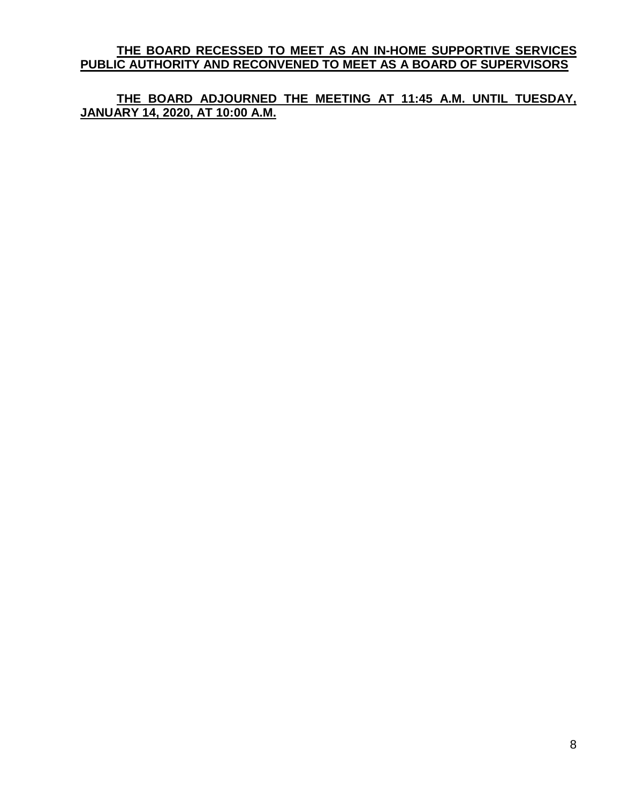**THE BOARD RECESSED TO MEET AS AN IN-HOME SUPPORTIVE SERVICES PUBLIC AUTHORITY AND RECONVENED TO MEET AS A BOARD OF SUPERVISORS**

**THE BOARD ADJOURNED THE MEETING AT 11:45 A.M. UNTIL TUESDAY, JANUARY 14, 2020, AT 10:00 A.M.**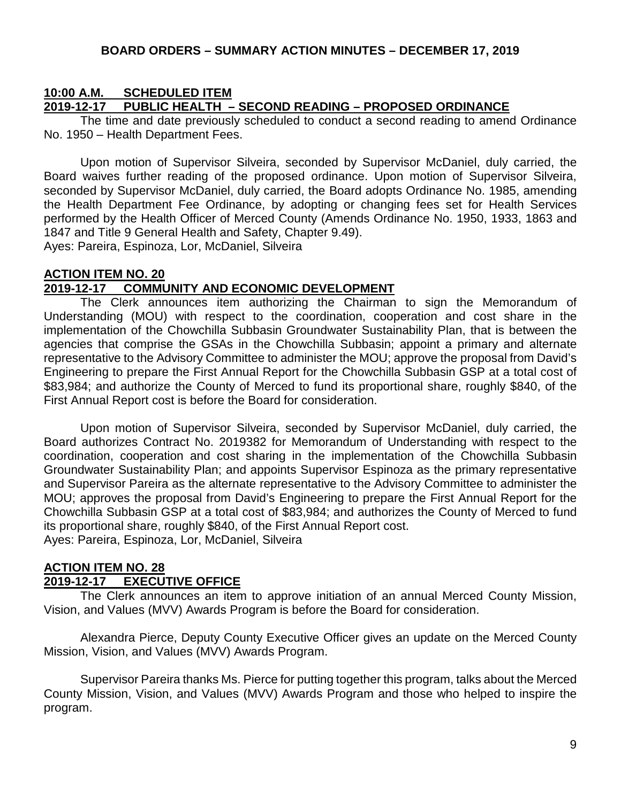### **10:00 A.M. SCHEDULED ITEM**

### **2019-12-17 PUBLIC HEALTH – SECOND READING – PROPOSED ORDINANCE**

The time and date previously scheduled to conduct a second reading to amend Ordinance No. 1950 – Health Department Fees.

Upon motion of Supervisor Silveira, seconded by Supervisor McDaniel, duly carried, the Board waives further reading of the proposed ordinance. Upon motion of Supervisor Silveira, seconded by Supervisor McDaniel, duly carried, the Board adopts Ordinance No. 1985, amending the Health Department Fee Ordinance, by adopting or changing fees set for Health Services performed by the Health Officer of Merced County (Amends Ordinance No. 1950, 1933, 1863 and 1847 and Title 9 General Health and Safety, Chapter 9.49). Ayes: Pareira, Espinoza, Lor, McDaniel, Silveira

**ACTION ITEM NO. 20**

### **2019-12-17 COMMUNITY AND ECONOMIC DEVELOPMENT**

The Clerk announces item authorizing the Chairman to sign the Memorandum of Understanding (MOU) with respect to the coordination, cooperation and cost share in the implementation of the Chowchilla Subbasin Groundwater Sustainability Plan, that is between the agencies that comprise the GSAs in the Chowchilla Subbasin; appoint a primary and alternate representative to the Advisory Committee to administer the MOU; approve the proposal from David's Engineering to prepare the First Annual Report for the Chowchilla Subbasin GSP at a total cost of \$83,984; and authorize the County of Merced to fund its proportional share, roughly \$840, of the First Annual Report cost is before the Board for consideration.

Upon motion of Supervisor Silveira, seconded by Supervisor McDaniel, duly carried, the Board authorizes Contract No. 2019382 for Memorandum of Understanding with respect to the coordination, cooperation and cost sharing in the implementation of the Chowchilla Subbasin Groundwater Sustainability Plan; and appoints Supervisor Espinoza as the primary representative and Supervisor Pareira as the alternate representative to the Advisory Committee to administer the MOU; approves the proposal from David's Engineering to prepare the First Annual Report for the Chowchilla Subbasin GSP at a total cost of \$83,984; and authorizes the County of Merced to fund its proportional share, roughly \$840, of the First Annual Report cost. Ayes: Pareira, Espinoza, Lor, McDaniel, Silveira

# **ACTION ITEM NO. 28**

### **2019-12-17 EXECUTIVE OFFICE**

The Clerk announces an item to approve initiation of an annual Merced County Mission, Vision, and Values (MVV) Awards Program is before the Board for consideration.

Alexandra Pierce, Deputy County Executive Officer gives an update on the Merced County Mission, Vision, and Values (MVV) Awards Program.

Supervisor Pareira thanks Ms. Pierce for putting together this program, talks about the Merced County Mission, Vision, and Values (MVV) Awards Program and those who helped to inspire the program.